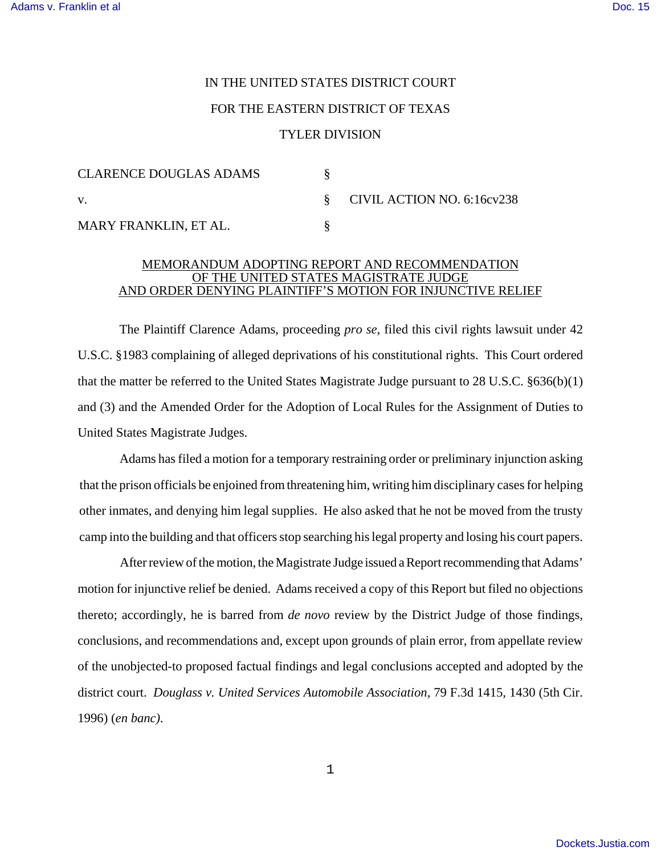## IN THE UNITED STATES DISTRICT COURT FOR THE EASTERN DISTRICT OF TEXAS TYLER DIVISION

| <b>CLARENCE DOUGLAS ADAMS</b> |                              |
|-------------------------------|------------------------------|
| V.                            | § CIVIL ACTION NO. 6:16cv238 |
| MARY FRANKLIN, ET AL.         |                              |

## MEMORANDUM ADOPTING REPORT AND RECOMMENDATION OF THE UNITED STATES MAGISTRATE JUDGE AND ORDER DENYING PLAINTIFF'S MOTION FOR INJUNCTIVE RELIEF

The Plaintiff Clarence Adams, proceeding *pro se*, filed this civil rights lawsuit under 42 U.S.C. §1983 complaining of alleged deprivations of his constitutional rights. This Court ordered that the matter be referred to the United States Magistrate Judge pursuant to 28 U.S.C. §636(b)(1) and (3) and the Amended Order for the Adoption of Local Rules for the Assignment of Duties to United States Magistrate Judges.

Adams has filed a motion for a temporary restraining order or preliminary injunction asking that the prison officials be enjoined from threatening him, writing him disciplinary cases for helping other inmates, and denying him legal supplies. He also asked that he not be moved from the trusty camp into the building and that officers stop searching his legal property and losing his court papers.

After review of the motion, the Magistrate Judge issued a Report recommending that Adams' motion for injunctive relief be denied. Adams received a copy of this Report but filed no objections thereto; accordingly, he is barred from *de novo* review by the District Judge of those findings, conclusions, and recommendations and, except upon grounds of plain error, from appellate review of the unobjected-to proposed factual findings and legal conclusions accepted and adopted by the district court. *Douglass v. United Services Automobile Association*, 79 F.3d 1415, 1430 (5th Cir. 1996) (*en banc)*.